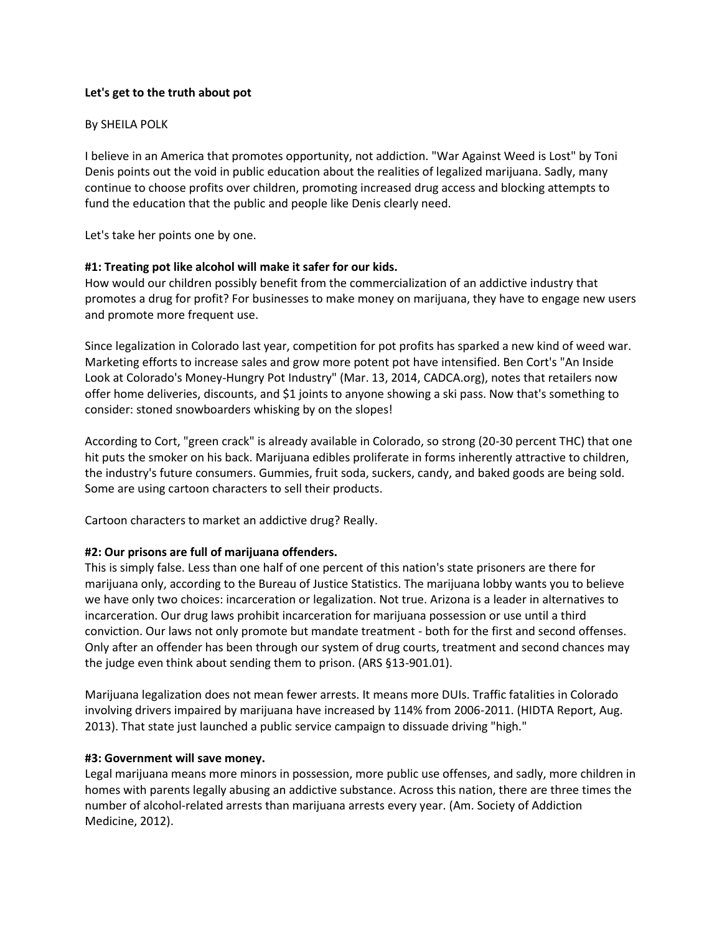## **Let's get to the truth about pot**

### By SHEILA POLK

I believe in an America that promotes opportunity, not addiction. "War Against Weed is Lost" by Toni Denis points out the void in public education about the realities of legalized marijuana. Sadly, many continue to choose profits over children, promoting increased drug access and blocking attempts to fund the education that the public and people like Denis clearly need.

Let's take her points one by one.

### **#1: Treating pot like alcohol will make it safer for our kids.**

How would our children possibly benefit from the commercialization of an addictive industry that promotes a drug for profit? For businesses to make money on marijuana, they have to engage new users and promote more frequent use.

Since legalization in Colorado last year, competition for pot profits has sparked a new kind of weed war. Marketing efforts to increase sales and grow more potent pot have intensified. Ben Cort's "An Inside Look at Colorado's Money-Hungry Pot Industry" (Mar. 13, 2014, CADCA.org), notes that retailers now offer home deliveries, discounts, and \$1 joints to anyone showing a ski pass. Now that's something to consider: stoned snowboarders whisking by on the slopes!

According to Cort, "green crack" is already available in Colorado, so strong (20-30 percent THC) that one hit puts the smoker on his back. Marijuana edibles proliferate in forms inherently attractive to children, the industry's future consumers. Gummies, fruit soda, suckers, candy, and baked goods are being sold. Some are using cartoon characters to sell their products.

Cartoon characters to market an addictive drug? Really.

## **#2: Our prisons are full of marijuana offenders.**

This is simply false. Less than one half of one percent of this nation's state prisoners are there for marijuana only, according to the Bureau of Justice Statistics. The marijuana lobby wants you to believe we have only two choices: incarceration or legalization. Not true. Arizona is a leader in alternatives to incarceration. Our drug laws prohibit incarceration for marijuana possession or use until a third conviction. Our laws not only promote but mandate treatment - both for the first and second offenses. Only after an offender has been through our system of drug courts, treatment and second chances may the judge even think about sending them to prison. (ARS §13-901.01).

Marijuana legalization does not mean fewer arrests. It means more DUIs. Traffic fatalities in Colorado involving drivers impaired by marijuana have increased by 114% from 2006-2011. (HIDTA Report, Aug. 2013). That state just launched a public service campaign to dissuade driving "high."

#### **#3: Government will save money.**

Legal marijuana means more minors in possession, more public use offenses, and sadly, more children in homes with parents legally abusing an addictive substance. Across this nation, there are three times the number of alcohol-related arrests than marijuana arrests every year. (Am. Society of Addiction Medicine, 2012).